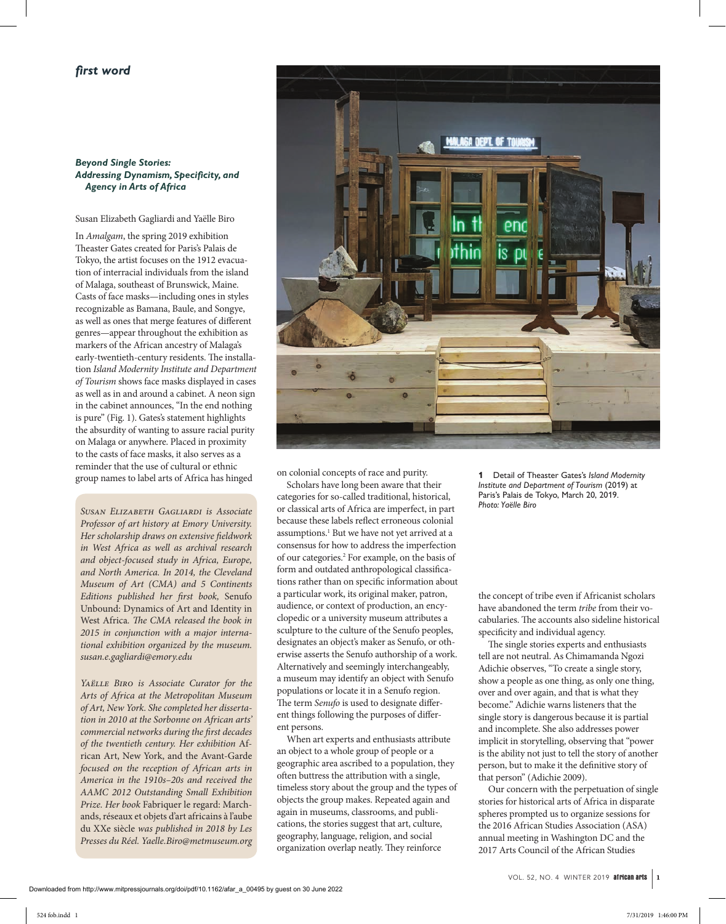# *first word*

## *Beyond Single Stories: Addressing Dynamism, Specificity, and Agency in Arts of Africa*

## Susan Elizabeth Gagliardi and Yaëlle Biro

In *Amalgam*, the spring 2019 exhibition Theaster Gates created for Paris's Palais de Tokyo, the artist focuses on the 1912 evacuation of interracial individuals from the island of Malaga, southeast of Brunswick, Maine. Casts of face masks—including ones in styles recognizable as Bamana, Baule, and Songye, as well as ones that merge features of different genres—appear throughout the exhibition as markers of the African ancestry of Malaga's early-twentieth-century residents. The installation *Island Modernity Institute and Department of Tourism* shows face masks displayed in cases as well as in and around a cabinet. A neon sign in the cabinet announces, "In the end nothing is pure" (Fig. 1). Gates's statement highlights the absurdity of wanting to assure racial purity on Malaga or anywhere. Placed in proximity to the casts of face masks, it also serves as a reminder that the use of cultural or ethnic examples that the use of edition of edition of colonial concepts of race and purity.

*Susan Elizabeth Gagliardi is Associate Professor of art history at Emory University. Her scholarship draws on extensive fieldwork in West Africa as well as archival research and object-focused study in Africa, Europe, and North America. In 2014, the Cleveland Museum of Art (CMA) and 5 Continents Editions published her first book,* Senufo Unbound: Dynamics of Art and Identity in West Africa*. The CMA released the book in 2015 in conjunction with a major international exhibition organized by the museum. susan.e.gagliardi@emory.edu*

*Yaëlle Biro is Associate Curator for the Arts of Africa at the Metropolitan Museum of Art, New York. She completed her dissertation in 2010 at the Sorbonne on African arts' commercial networks during the first decades of the twentieth century. Her exhibition* African Art, New York, and the Avant-Garde *focused on the reception of African arts in America in the 1910s–20s and received the AAMC 2012 Outstanding Small Exhibition Prize. Her book* Fabriquer le regard: Marchands, réseaux et objets d'art africains à l'aube du XXe siècle *was published in 2018 by Les Presses du Réel. Yaelle.Biro@metmuseum.org*



Scholars have long been aware that their categories for so-called traditional, historical, or classical arts of Africa are imperfect, in part because these labels reflect erroneous colonial assumptions.<sup>1</sup> But we have not yet arrived at a consensus for how to address the imperfection of our categories.2 For example, on the basis of form and outdated anthropological classifications rather than on specific information about a particular work, its original maker, patron, audience, or context of production, an encyclopedic or a university museum attributes a sculpture to the culture of the Senufo peoples, designates an object's maker as Senufo, or otherwise asserts the Senufo authorship of a work. Alternatively and seemingly interchangeably, a museum may identify an object with Senufo populations or locate it in a Senufo region. The term *Senufo* is used to designate different things following the purposes of different persons.

When art experts and enthusiasts attribute an object to a whole group of people or a geographic area ascribed to a population, they often buttress the attribution with a single, timeless story about the group and the types of objects the group makes. Repeated again and again in museums, classrooms, and publications, the stories suggest that art, culture, geography, language, religion, and social organization overlap neatly. They reinforce

**1** Detail of Theaster Gates's *Island Modernity Institute and Department of Tourism* (2019) at Paris's Palais de Tokyo, March 20, 2019. *Photo: Yaëlle Biro*

the concept of tribe even if Africanist scholars have abandoned the term *tribe* from their vocabularies. The accounts also sideline historical specificity and individual agency.

The single stories experts and enthusiasts tell are not neutral. As Chimamanda Ngozi Adichie observes, "To create a single story, show a people as one thing, as only one thing, over and over again, and that is what they become." Adichie warns listeners that the single story is dangerous because it is partial and incomplete. She also addresses power implicit in storytelling, observing that "power is the ability not just to tell the story of another person, but to make it the definitive story of that person" (Adichie 2009).

Our concern with the perpetuation of single stories for historical arts of Africa in disparate spheres prompted us to organize sessions for the 2016 African Studies Association (ASA) annual meeting in Washington DC and the 2017 Arts Council of the African Studies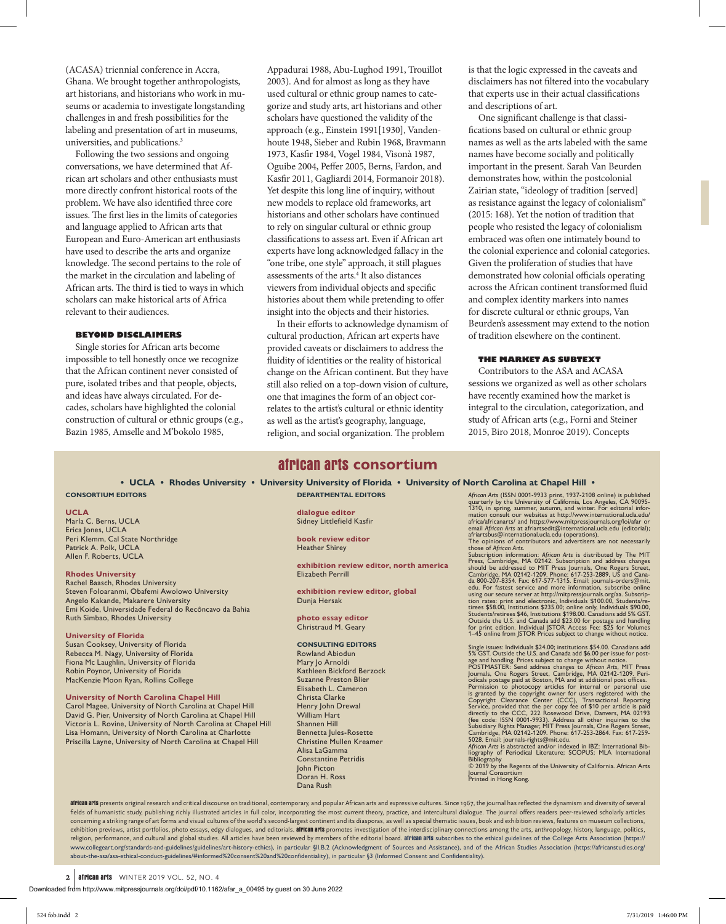(ACASA) triennial conference in Accra, Ghana. We brought together anthropologists, art historians, and historians who work in museums or academia to investigate longstanding challenges in and fresh possibilities for the labeling and presentation of art in museums, universities, and publications.<sup>3</sup>

Following the two sessions and ongoing conversations, we have determined that African art scholars and other enthusiasts must more directly confront historical roots of the problem. We have also identified three core issues. The first lies in the limits of categories and language applied to African arts that European and Euro-American art enthusiasts have used to describe the arts and organize knowledge. The second pertains to the role of the market in the circulation and labeling of African arts. The third is tied to ways in which scholars can make historical arts of Africa relevant to their audiences.

## **BEYOND DISCLAIMERS**

Single stories for African arts become impossible to tell honestly once we recognize that the African continent never consisted of pure, isolated tribes and that people, objects, and ideas have always circulated. For decades, scholars have highlighted the colonial construction of cultural or ethnic groups (e.g., Bazin 1985, Amselle and M'bokolo 1985,

Appadurai 1988, Abu-Lughod 1991, Trouillot 2003). And for almost as long as they have used cultural or ethnic group names to categorize and study arts, art historians and other scholars have questioned the validity of the approach (e.g., Einstein 1991[1930], Vandenhoute 1948, Sieber and Rubin 1968, Bravmann 1973, Kasfir 1984, Vogel 1984, Visonà 1987, Oguibe 2004, Peffer 2005, Berns, Fardon, and Kasfir 2011, Gagliardi 2014, Formanoir 2018). Yet despite this long line of inquiry, without new models to replace old frameworks, art historians and other scholars have continued to rely on singular cultural or ethnic group classifications to assess art. Even if African art experts have long acknowledged fallacy in the "one tribe, one style" approach, it still plagues assessments of the arts.4 It also distances viewers from individual objects and specific histories about them while pretending to offer insight into the objects and their histories.

In their efforts to acknowledge dynamism of cultural production, African art experts have provided caveats or disclaimers to address the fluidity of identities or the reality of historical change on the African continent. But they have still also relied on a top-down vision of culture, one that imagines the form of an object correlates to the artist's cultural or ethnic identity as well as the artist's geography, language, religion, and social organization. The problem

is that the logic expressed in the caveats and disclaimers has not filtered into the vocabulary that experts use in their actual classifications and descriptions of art.

One significant challenge is that classifications based on cultural or ethnic group names as well as the arts labeled with the same names have become socially and politically important in the present. Sarah Van Beurden demonstrates how, within the postcolonial Zairian state, "ideology of tradition [served] as resistance against the legacy of colonialism" (2015: 168). Yet the notion of tradition that people who resisted the legacy of colonialism embraced was often one intimately bound to the colonial experience and colonial categories. Given the proliferation of studies that have demonstrated how colonial officials operating across the African continent transformed fluid and complex identity markers into names for discrete cultural or ethnic groups, Van Beurden's assessment may extend to the notion of tradition elsewhere on the continent.

## **THE MARKET AS SUBTEXT**

Contributors to the ASA and ACASA sessions we organized as well as other scholars have recently examined how the market is integral to the circulation, categorization, and study of African arts (e.g., Forni and Steiner 2015, Biro 2018, Monroe 2019). Concepts

# **african arts consortium**

**CONSORTIUM EDITORS • UCLA • Rhodes University • University University of Florida • University of North Carolina at Chapel Hill • DEPARTMENTAL EDITORS**

#### **UCLA**

Marla C. Berns, UCLA Erica Jones, UCLA Peri Klemm, Cal State Northridge Patrick A. Polk, UCLA Allen F. Roberts, UCLA

#### **Rhodes University**

Rachel Baasch, Rhodes University Steven Foloaranmi, Obafemi Awolowo University Angelo Kakande, Makarere University Emi Koide, Universidade Federal do Recôncavo da Bahia Ruth Simbao, Rhodes University

#### **University of Florida**

Susan Cooksey, University of Florida Rebecca M. Nagy, University of Florida Fiona Mc Laughlin, University of Florida Robin Poynor, University of Florida MacKenzie Moon Ryan, Rollins College

### **University of North Carolina Chapel Hill**

Carol Magee, University of North Carolina at Chapel Hill David G. Pier, University of North Carolina at Chapel Hill Victoria L. Rovine, University of North Carolina at Chapel Hill Lisa Homann, University of North Carolina at Charlotte Priscilla Layne, University of North Carolina at Chapel Hill

**dialogue editor** Sidney Littlefield Kasfir

**book review editor** Heather Shirey

**exhibition review editor, north america** Elizabeth Perrill

**exhibition review editor, global** Dunja Hersak

**photo essay editor** Christraud M. Geary

#### **CONSULTING EDITORS**

Rowland Abiodun Mary Jo Arnoldi Kathleen Bickford Berzock Suzanne Preston Blier Elisabeth L. Cameron Christa Clarke Henry John Drewal William Hart Shannen Hill Bennetta Jules-Rosette Christine Mullen Kreamer Alisa LaGamma Constantine Petridis John Picton Doran H. Ross Dana Rush

African Arts (ISSN 0001-9933 print, 1937-2108 online) is published<br>quarterly by the University of California, Los Angeles, CA 90095-<br>1310, in spring, summer, autumn, and winter. For editorial information consult our websit

those of African Arts.<br>Subscription information: African Arts is distributed by The MIT<br>Press, Cambridge, MA 02142. Subscription and address changes<br>should be addressed to MIT Press Journals, One Rogers Street,<br>Cambridge, edu. For fastest service and more information, subscribe online<br>using our secure server at http://mittpressipurnals.org/aa. Subscrip-<br>tion rates: print and electronic, Individuals \$100.00, Students/re-<br>tiress \$58.00, Insti

Single issues: Individuals \$24.00; institutions \$54.00. Canadians add 5% GST. Outside the U.S. and Canada add \$6.00 per issue for postage and handling. Prices subject to change without notice.<br>age and handling. Prices subj Permission to photocopy articles for internal or personal use<br>is granted by the copyright owener for users registered with the<br>Copyright Clearance Center (CCC), Transactional Reporting<br>Service, provided that the per copy f

Bibliography © 2019 by the Regents of the University of California. African Arts Journal Consortium Printed in Hong Kong.

alrican arts presents original research and critical discourse on traditional, contemporary, and popular African arts and expressive cultures. Since 1967, the journal has reflected the dynamism and diversity of several fields of humanistic study, publishing richly illustrated articles in full color, incorporating the most current theory, practice, and intercultural dialogue. The journal offers readers peer-reviewed scholarly articles concerning a striking range of art forms and visual cultures of the world's second-largest continent and its diasporas, as well as special thematic issues, book and exhibition reviews, features on museum collections, exhibition previews, artist portfolios, photo essays, edgy dialogues, and editorials. **african arts** promotes investigation of the interdisciplinary connections among the arts, anthropology, history, language, politics, religion, performance, and cultural and global studies. All articles have been reviewed by members of the editorial board. **african arts** subscribes to the ethical guidelines of the College Arts Association (https:// www.collegeart.org/standards-and-guidelines/guidelines/art-history-ethics), in particular §II.B.2 (Acknowledgment of Sources and Assistance), and of the African Studies Association (https://africanstudies.org/ about-the-asa/asa-ethical-conduct-guidelines/#informed%20consent%20and%20confidentiality), in particular §3 (Informed Consent and Confidentiality).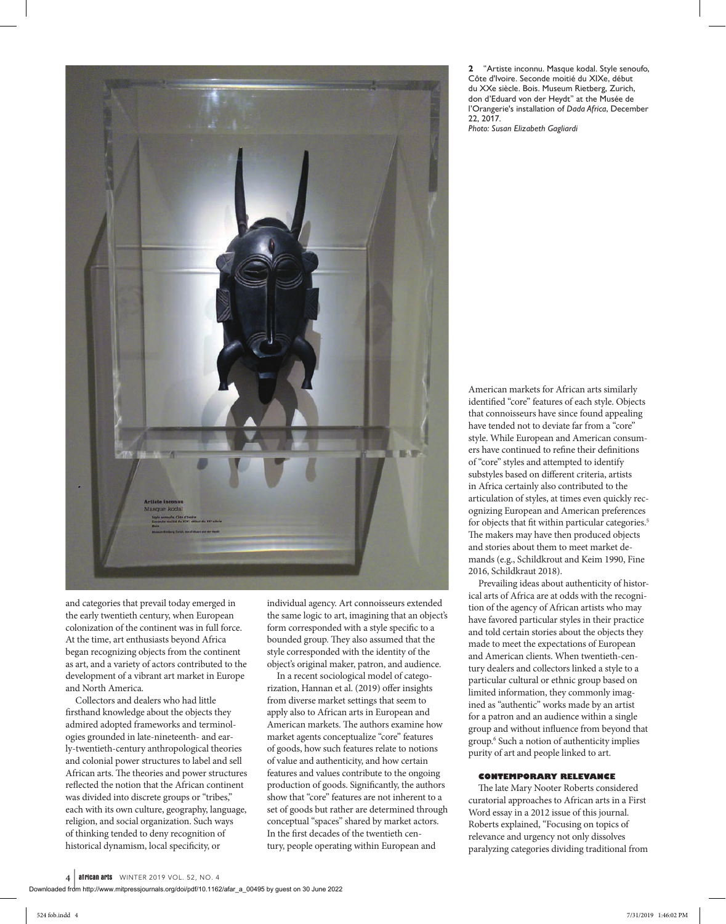

and categories that prevail today emerged in the early twentieth century, when European colonization of the continent was in full force. At the time, art enthusiasts beyond Africa began recognizing objects from the continent as art, and a variety of actors contributed to the development of a vibrant art market in Europe and North America.

Collectors and dealers who had little firsthand knowledge about the objects they admired adopted frameworks and terminologies grounded in late-nineteenth- and early-twentieth-century anthropological theories and colonial power structures to label and sell African arts. The theories and power structures reflected the notion that the African continent was divided into discrete groups or "tribes," each with its own culture, geography, language, religion, and social organization. Such ways of thinking tended to deny recognition of historical dynamism, local specificity, or

individual agency. Art connoisseurs extended the same logic to art, imagining that an object's form corresponded with a style specific to a bounded group. They also assumed that the style corresponded with the identity of the object's original maker, patron, and audience.

In a recent sociological model of categorization, Hannan et al. (2019) offer insights from diverse market settings that seem to apply also to African arts in European and American markets. The authors examine how market agents conceptualize "core" features of goods, how such features relate to notions of value and authenticity, and how certain features and values contribute to the ongoing production of goods. Significantly, the authors show that "core" features are not inherent to a set of goods but rather are determined through conceptual "spaces" shared by market actors. In the first decades of the twentieth century, people operating within European and

**2** "Artiste inconnu. Masque kodal. Style senoufo, Côte d'Ivoire. Seconde moitié du XIXe, début du XXe siècle. Bois. Museum Rietberg, Zurich, don d'Eduard von der Heydt" at the Musée de l'Orangerie's installation of *Dada Africa*, December 22, 2017.

*Photo: Susan Elizabeth Gagliardi*

American markets for African arts similarly identified "core" features of each style. Objects that connoisseurs have since found appealing have tended not to deviate far from a "core" style. While European and American consumers have continued to refine their definitions of "core" styles and attempted to identify substyles based on different criteria, artists in Africa certainly also contributed to the articulation of styles, at times even quickly recognizing European and American preferences for objects that fit within particular categories.<sup>5</sup> The makers may have then produced objects and stories about them to meet market demands (e.g., Schildkrout and Keim 1990, Fine 2016, Schildkraut 2018).

Prevailing ideas about authenticity of historical arts of Africa are at odds with the recognition of the agency of African artists who may have favored particular styles in their practice and told certain stories about the objects they made to meet the expectations of European and American clients. When twentieth-century dealers and collectors linked a style to a particular cultural or ethnic group based on limited information, they commonly imagined as "authentic" works made by an artist for a patron and an audience within a single group and without influence from beyond that group.6 Such a notion of authenticity implies purity of art and people linked to art.

## **CONTEMPORARY RELEVANCE**

The late Mary Nooter Roberts considered curatorial approaches to African arts in a First Word essay in a 2012 issue of this journal. Roberts explained, "Focusing on topics of relevance and urgency not only dissolves paralyzing categories dividing traditional from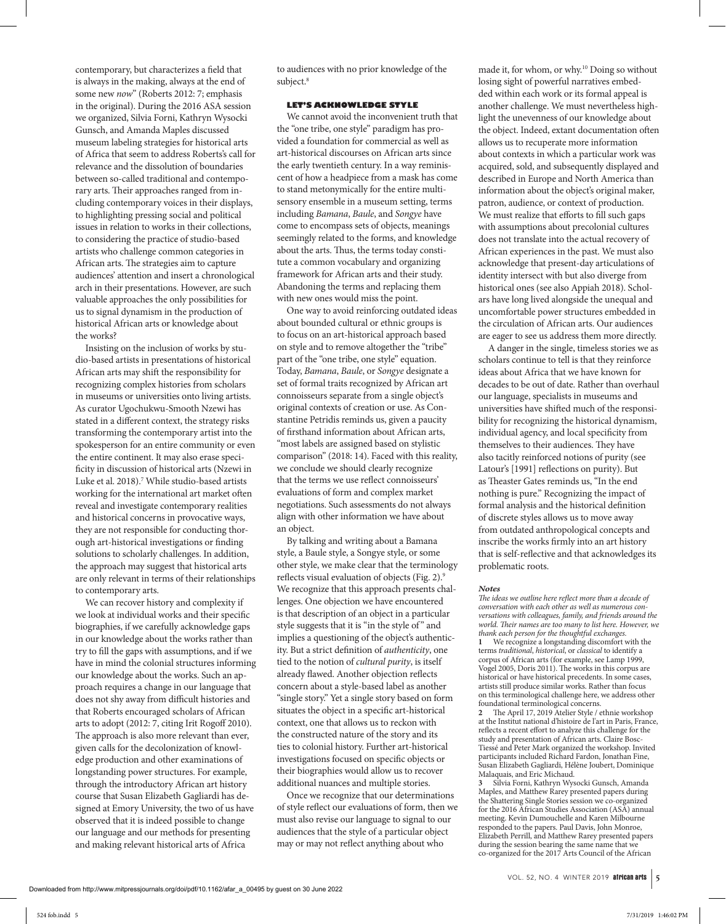contemporary, but characterizes a field that is always in the making, always at the end of some new *now*" (Roberts 2012: 7; emphasis in the original). During the 2016 ASA session we organized, Silvia Forni, Kathryn Wysocki Gunsch, and Amanda Maples discussed museum labeling strategies for historical arts of Africa that seem to address Roberts's call for relevance and the dissolution of boundaries between so-called traditional and contemporary arts. Their approaches ranged from including contemporary voices in their displays, to highlighting pressing social and political issues in relation to works in their collections, to considering the practice of studio-based artists who challenge common categories in African arts. The strategies aim to capture audiences' attention and insert a chronological arch in their presentations. However, are such valuable approaches the only possibilities for us to signal dynamism in the production of historical African arts or knowledge about the works?

Insisting on the inclusion of works by studio-based artists in presentations of historical African arts may shift the responsibility for recognizing complex histories from scholars in museums or universities onto living artists. As curator Ugochukwu-Smooth Nzewi has stated in a different context, the strategy risks transforming the contemporary artist into the spokesperson for an entire community or even the entire continent. It may also erase specificity in discussion of historical arts (Nzewi in Luke et al. 2018).<sup>7</sup> While studio-based artists working for the international art market often reveal and investigate contemporary realities and historical concerns in provocative ways, they are not responsible for conducting thorough art-historical investigations or finding solutions to scholarly challenges. In addition, the approach may suggest that historical arts are only relevant in terms of their relationships to contemporary arts.

We can recover history and complexity if we look at individual works and their specific biographies, if we carefully acknowledge gaps in our knowledge about the works rather than try to fill the gaps with assumptions, and if we have in mind the colonial structures informing our knowledge about the works. Such an approach requires a change in our language that does not shy away from difficult histories and that Roberts encouraged scholars of African arts to adopt (2012: 7, citing Irit Rogoff 2010). The approach is also more relevant than ever, given calls for the decolonization of knowledge production and other examinations of longstanding power structures. For example, through the introductory African art history course that Susan Elizabeth Gagliardi has designed at Emory University, the two of us have observed that it is indeed possible to change our language and our methods for presenting and making relevant historical arts of Africa

to audiences with no prior knowledge of the subject.<sup>8</sup>

## **LET'S ACKNOWLEDGE STYLE**

We cannot avoid the inconvenient truth that the "one tribe, one style" paradigm has provided a foundation for commercial as well as art-historical discourses on African arts since the early twentieth century. In a way reminiscent of how a headpiece from a mask has come to stand metonymically for the entire multisensory ensemble in a museum setting, terms including *Bamana*, *Baule*, and *Songye* have come to encompass sets of objects, meanings seemingly related to the forms, and knowledge about the arts. Thus, the terms today constitute a common vocabulary and organizing framework for African arts and their study. Abandoning the terms and replacing them with new ones would miss the point.

One way to avoid reinforcing outdated ideas about bounded cultural or ethnic groups is to focus on an art-historical approach based on style and to remove altogether the "tribe" part of the "one tribe, one style" equation. Today, *Bamana*, *Baule*, or *Songye* designate a set of formal traits recognized by African art connoisseurs separate from a single object's original contexts of creation or use. As Constantine Petridis reminds us, given a paucity of firsthand information about African arts, "most labels are assigned based on stylistic comparison" (2018: 14). Faced with this reality, we conclude we should clearly recognize that the terms we use reflect connoisseurs' evaluations of form and complex market negotiations. Such assessments do not always align with other information we have about an object.

By talking and writing about a Bamana style, a Baule style, a Songye style, or some other style, we make clear that the terminology reflects visual evaluation of objects (Fig. 2).<sup>9</sup> We recognize that this approach presents challenges. One objection we have encountered is that description of an object in a particular style suggests that it is "in the style of" and implies a questioning of the object's authenticity. But a strict definition of *authenticity*, one tied to the notion of *cultural purity*, is itself already flawed. Another objection reflects concern about a style-based label as another "single story." Yet a single story based on form situates the object in a specific art-historical context, one that allows us to reckon with the constructed nature of the story and its ties to colonial history. Further art-historical investigations focused on specific objects or their biographies would allow us to recover additional nuances and multiple stories.

Once we recognize that our determinations of style reflect our evaluations of form, then we must also revise our language to signal to our audiences that the style of a particular object may or may not reflect anything about who

made it, for whom, or why.10 Doing so without losing sight of powerful narratives embedded within each work or its formal appeal is another challenge. We must nevertheless highlight the unevenness of our knowledge about the object. Indeed, extant documentation often allows us to recuperate more information about contexts in which a particular work was acquired, sold, and subsequently displayed and described in Europe and North America than information about the object's original maker, patron, audience, or context of production. We must realize that efforts to fill such gaps with assumptions about precolonial cultures does not translate into the actual recovery of African experiences in the past. We must also acknowledge that present-day articulations of identity intersect with but also diverge from historical ones (see also Appiah 2018). Scholars have long lived alongside the unequal and uncomfortable power structures embedded in the circulation of African arts. Our audiences are eager to see us address them more directly.

A danger in the single, timeless stories we as scholars continue to tell is that they reinforce ideas about Africa that we have known for decades to be out of date. Rather than overhaul our language, specialists in museums and universities have shifted much of the responsibility for recognizing the historical dynamism, individual agency, and local specificity from themselves to their audiences. They have also tacitly reinforced notions of purity (see Latour's [1991] reflections on purity). But as Theaster Gates reminds us, "In the end nothing is pure." Recognizing the impact of formal analysis and the historical definition of discrete styles allows us to move away from outdated anthropological concepts and inscribe the works firmly into an art history that is self-reflective and that acknowledges its problematic roots.

## *Notes*

*The ideas we outline here reflect more than a decade of conversation with each other as well as numerous conversations with colleagues, family, and friends around the world. Their names are too many to list here. However, we thank each person for the thoughtful exchanges.* 

**1** We recognize a longstanding discomfort with the terms *traditional*, *historical*, or *classical* to identify a corpus of African arts (for example, see Lamp 1999, Vogel 2005, Doris 2011). The works in this corpus are historical or have historical precedents. In some cases, artists still produce similar works. Rather than focus on this terminological challenge here, we address other

foundational terminological concerns. **2** The April 17, 2019 Atelier Style / ethnie workshop at the Institut national d'histoire de l'art in Paris, France, reflects a recent effort to analyze this challenge for the study and presentation of African arts. Claire Bosc-Tiessé and Peter Mark organized the workshop. Invited participants included Richard Fardon, Jonathan Fine, Susan Elizabeth Gagliardi, Hélène Joubert, Dominique Malaquais, and Eric Michaud.

**3** Silvia Forni, Kathryn Wysocki Gunsch, Amanda Maples, and Matthew Rarey presented papers during the Shattering Single Stories session we co-organized for the 2016 African Studies Association (ASA) annual meeting. Kevin Dumouchelle and Karen Milbourne responded to the papers. Paul Davis, John Monroe, Elizabeth Perrill, and Matthew Rarey presented papers during the session bearing the same name that we co-organized for the 2017 Arts Council of the African